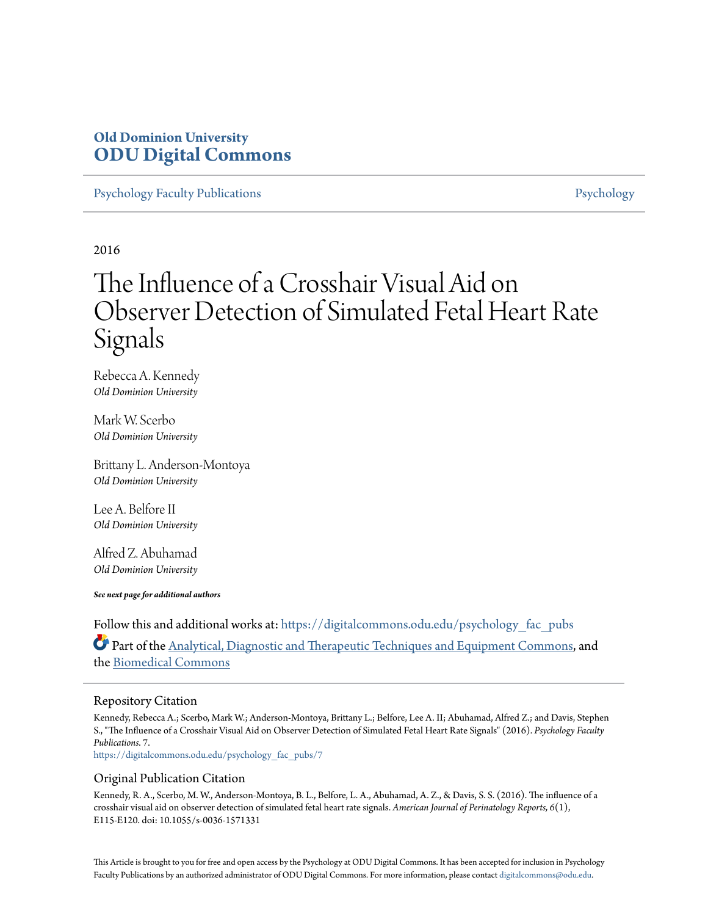## **Old Dominion University [ODU Digital Commons](https://digitalcommons.odu.edu?utm_source=digitalcommons.odu.edu%2Fpsychology_fac_pubs%2F7&utm_medium=PDF&utm_campaign=PDFCoverPages)**

[Psychology Faculty Publications](https://digitalcommons.odu.edu/psychology_fac_pubs?utm_source=digitalcommons.odu.edu%2Fpsychology_fac_pubs%2F7&utm_medium=PDF&utm_campaign=PDFCoverPages) **[Psychology](https://digitalcommons.odu.edu/psychology?utm_source=digitalcommons.odu.edu%2Fpsychology_fac_pubs%2F7&utm_medium=PDF&utm_campaign=PDFCoverPages)** 

2016

# The Influence of a Crosshair Visual Aid on Observer Detection of Simulated Fetal Heart Rate Signals

Rebecca A. Kennedy *Old Dominion University*

Mark W. Scerbo *Old Dominion University*

Brittany L. Anderson-Montoya *Old Dominion University*

Lee A. Belfore II *Old Dominion University*

Alfred Z. Abuhamad *Old Dominion University*

*See next page for additional authors*

Follow this and additional works at: [https://digitalcommons.odu.edu/psychology\\_fac\\_pubs](https://digitalcommons.odu.edu/psychology_fac_pubs?utm_source=digitalcommons.odu.edu%2Fpsychology_fac_pubs%2F7&utm_medium=PDF&utm_campaign=PDFCoverPages) Part of the [Analytical, Diagnostic and Therapeutic Techniques and Equipment Commons,](http://network.bepress.com/hgg/discipline/899?utm_source=digitalcommons.odu.edu%2Fpsychology_fac_pubs%2F7&utm_medium=PDF&utm_campaign=PDFCoverPages) and the [Biomedical Commons](http://network.bepress.com/hgg/discipline/267?utm_source=digitalcommons.odu.edu%2Fpsychology_fac_pubs%2F7&utm_medium=PDF&utm_campaign=PDFCoverPages)

## Repository Citation

Kennedy, Rebecca A.; Scerbo, Mark W.; Anderson-Montoya, Brittany L.; Belfore, Lee A. II; Abuhamad, Alfred Z.; and Davis, Stephen S., "The Influence of a Crosshair Visual Aid on Observer Detection of Simulated Fetal Heart Rate Signals" (2016). *Psychology Faculty Publications*. 7.

[https://digitalcommons.odu.edu/psychology\\_fac\\_pubs/7](https://digitalcommons.odu.edu/psychology_fac_pubs/7?utm_source=digitalcommons.odu.edu%2Fpsychology_fac_pubs%2F7&utm_medium=PDF&utm_campaign=PDFCoverPages)

### Original Publication Citation

Kennedy, R. A., Scerbo, M. W., Anderson-Montoya, B. L., Belfore, L. A., Abuhamad, A. Z., & Davis, S. S. (2016). The influence of a crosshair visual aid on observer detection of simulated fetal heart rate signals. *American Journal of Perinatology Reports, 6*(1), E115-E120. doi: 10.1055/s-0036-1571331

This Article is brought to you for free and open access by the Psychology at ODU Digital Commons. It has been accepted for inclusion in Psychology Faculty Publications by an authorized administrator of ODU Digital Commons. For more information, please contact [digitalcommons@odu.edu.](mailto:digitalcommons@odu.edu)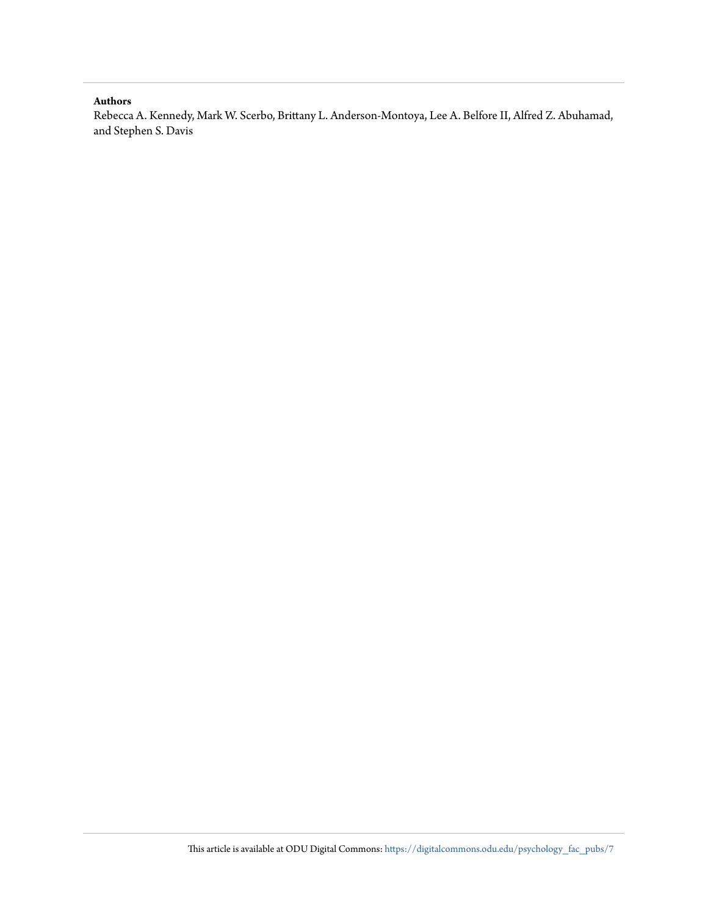## **Authors**

Rebecca A. Kennedy, Mark W. Scerbo, Brittany L. Anderson-Montoya, Lee A. Belfore II, Alfred Z. Abuhamad, and Stephen S. Davis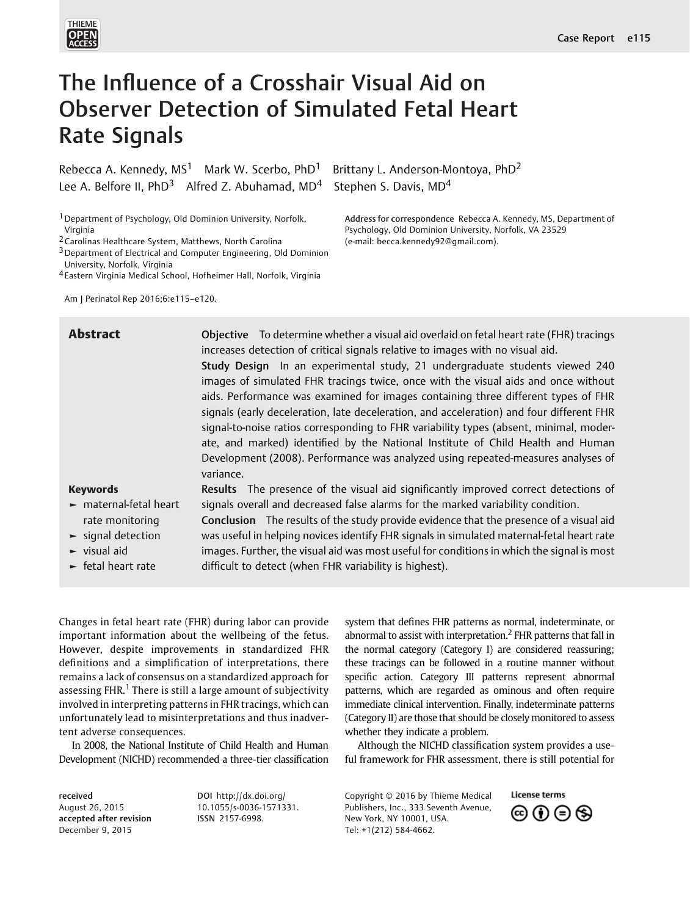

## The Influence of a Crosshair Visual Aid on Observer Detection of Simulated Fetal Heart Rate Signals

Rebecca A. Kennedy, MS<sup>1</sup> Mark W. Scerbo, PhD<sup>1</sup> Brittany L. Anderson-Montoya, PhD<sup>2</sup> Lee A. Belfore II, PhD<sup>3</sup> Alfred Z. Abuhamad, MD<sup>4</sup> Stephen S. Davis, MD<sup>4</sup>

1Department of Psychology, Old Dominion University, Norfolk, Virginia

2Carolinas Healthcare System, Matthews, North Carolina

<sup>3</sup> Department of Electrical and Computer Engineering, Old Dominion University, Norfolk, Virginia

4 Eastern Virginia Medical School, Hofheimer Hall, Norfolk, Virginia

Am J Perinatol Rep 2016;6:e115–e120.

Address for correspondence Rebecca A. Kennedy, MS, Department of Psychology, Old Dominion University, Norfolk, VA 23529 (e-mail: [becca.kennedy92@gmail.com](mailto:becca.kennedy92@gmail.com)).

Keywords ► maternal-fetal heart rate monitoring ► signal detection ► visual aid **Abstract** Objective To determine whether a visual aid overlaid on fetal heart rate (FHR) tracings increases detection of critical signals relative to images with no visual aid. Study Design In an experimental study, 21 undergraduate students viewed 240 images of simulated FHR tracings twice, once with the visual aids and once without aids. Performance was examined for images containing three different types of FHR signals (early deceleration, late deceleration, and acceleration) and four different FHR signal-to-noise ratios corresponding to FHR variability types (absent, minimal, moderate, and marked) identified by the National Institute of Child Health and Human Development (2008). Performance was analyzed using repeated-measures analyses of variance. Results The presence of the visual aid significantly improved correct detections of signals overall and decreased false alarms for the marked variability condition. Conclusion The results of the study provide evidence that the presence of a visual aid was useful in helping novices identify FHR signals in simulated maternal-fetal heart rate images. Further, the visual aid was most useful for conditions in which the signal is most difficult to detect (when FHR variability is highest).

 $\blacktriangleright$  fetal heart rate

Changes in fetal heart rate (FHR) during labor can provide important information about the wellbeing of the fetus. However, despite improvements in standardized FHR definitions and a simplification of interpretations, there remains a lack of consensus on a standardized approach for assessing  $FHR$ <sup>1</sup>. There is still a large amount of subjectivity involved in interpreting patterns in FHR tracings, which can unfortunately lead to misinterpretations and thus inadvertent adverse consequences.

In 2008, the National Institute of Child Health and Human Development (NICHD) recommended a three-tier classification

received August 26, 2015 accepted after revision December 9, 2015

DOI [http://dx.doi.org/](http://dx.doi.org/10.1055/s-0036-1571331) [10.1055/s-0036-1571331](http://dx.doi.org/10.1055/s-0036-1571331). ISSN 2157-6998.

system that defines FHR patterns as normal, indeterminate, or abnormal to assist with interpretation.<sup>2</sup> FHR patterns that fall in the normal category (Category I) are considered reassuring; these tracings can be followed in a routine manner without specific action. Category III patterns represent abnormal patterns, which are regarded as ominous and often require immediate clinical intervention. Finally, indeterminate patterns (Category II) are those that should be closely monitored to assess whether they indicate a problem.

Although the NICHD classification system provides a useful framework for FHR assessment, there is still potential for

Copyright © 2016 by Thieme Medical Publishers, Inc., 333 Seventh Avenue, New York, NY 10001, USA. Tel: +1(212) 584-4662.

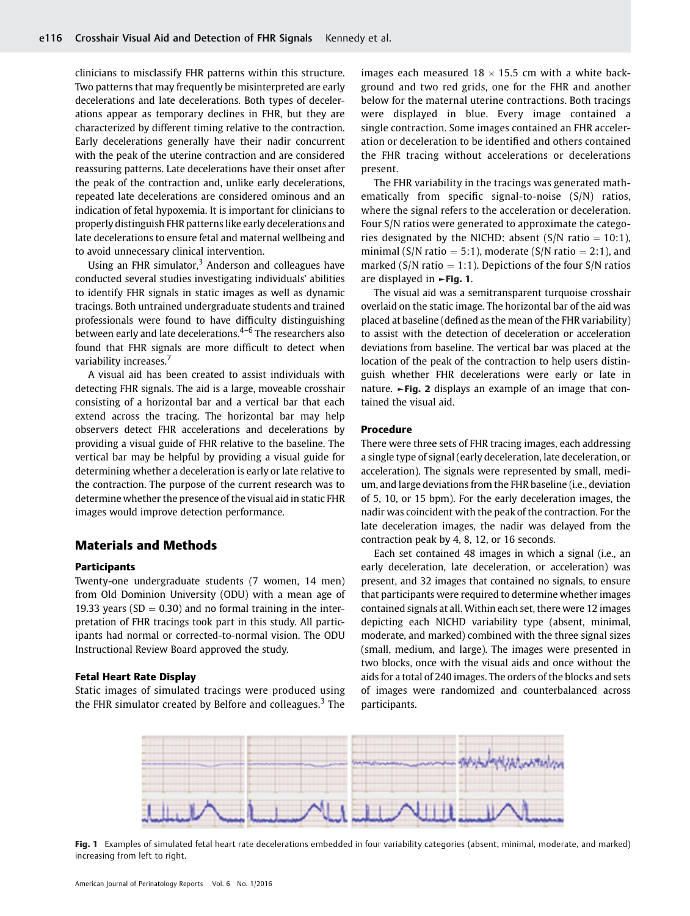clinicians to misclassify FHR patterns within this structure. Two patterns that may frequently be misinterpreted are early decelerations and late decelerations. Both types of decelerations appear as temporary declines in FHR, but they are characterized by different timing relative to the contraction. Early decelerations generally have their nadir concurrent with the peak of the uterine contraction and are considered reassuring patterns. Late decelerations have their onset after the peak of the contraction and, unlike early decelerations, repeated late decelerations are considered ominous and an indication of fetal hypoxemia. It is important for clinicians to properly distinguish FHR patterns like early decelerations and late decelerations to ensure fetal and maternal wellbeing and to avoid unnecessary clinical intervention.

Using an FHR simulator, $3$  Anderson and colleagues have conducted several studies investigating individuals' abilities to identify FHR signals in static images as well as dynamic tracings. Both untrained undergraduate students and trained professionals were found to have difficulty distinguishing between early and late decelerations.<sup>4-6</sup> The researchers also found that FHR signals are more difficult to detect when variability increases.<sup>7</sup>

A visual aid has been created to assist individuals with detecting FHR signals. The aid is a large, moveable crosshair consisting of a horizontal bar and a vertical bar that each extend across the tracing. The horizontal bar may help observers detect FHR accelerations and decelerations by providing a visual guide of FHR relative to the baseline. The vertical bar may be helpful by providing a visual guide for determining whether a deceleration is early or late relative to the contraction. The purpose of the current research was to determine whether the presence of the visual aid in static FHR images would improve detection performance.

## Materials and Methods

#### Participants

Twenty-one undergraduate students (7 women, 14 men) from Old Dominion University (ODU) with a mean age of 19.33 years (SD  $= 0.30$ ) and no formal training in the interpretation of FHR tracings took part in this study. All participants had normal or corrected-to-normal vision. The ODU Instructional Review Board approved the study.

#### Fetal Heart Rate Display

Static images of simulated tracings were produced using the FHR simulator created by Belfore and colleagues.<sup>3</sup> The

images each measured  $18 \times 15.5$  cm with a white background and two red grids, one for the FHR and another below for the maternal uterine contractions. Both tracings were displayed in blue. Every image contained a single contraction. Some images contained an FHR acceleration or deceleration to be identified and others contained the FHR tracing without accelerations or decelerations present.

The FHR variability in the tracings was generated mathematically from specific signal-to-noise (S/N) ratios, where the signal refers to the acceleration or deceleration. Four S/N ratios were generated to approximate the categories designated by the NICHD: absent  $(S/N \text{ ratio} = 10:1)$ , minimal (S/N ratio  $= 5:1$ ), moderate (S/N ratio  $= 2:1$ ), and marked (S/N ratio  $= 1:1$ ). Depictions of the four S/N ratios are displayed in ►Fig. 1.

The visual aid was a semitransparent turquoise crosshair overlaid on the static image. The horizontal bar of the aid was placed at baseline (defined as the mean of the FHR variability) to assist with the detection of deceleration or acceleration deviations from baseline. The vertical bar was placed at the location of the peak of the contraction to help users distinguish whether FHR decelerations were early or late in nature. ►Fig. 2 displays an example of an image that contained the visual aid.

#### Procedure

There were three sets of FHR tracing images, each addressing a single type of signal (early deceleration, late deceleration, or acceleration). The signals were represented by small, medium, and large deviations from the FHR baseline (i.e., deviation of 5, 10, or 15 bpm). For the early deceleration images, the nadir was coincident with the peak of the contraction. For the late deceleration images, the nadir was delayed from the contraction peak by 4, 8, 12, or 16 seconds.

Each set contained 48 images in which a signal (i.e., an early deceleration, late deceleration, or acceleration) was present, and 32 images that contained no signals, to ensure that participants were required to determine whether images contained signals at all. Within each set, there were 12 images depicting each NICHD variability type (absent, minimal, moderate, and marked) combined with the three signal sizes (small, medium, and large). The images were presented in two blocks, once with the visual aids and once without the aids for a total of 240 images. The orders of the blocks and sets of images were randomized and counterbalanced across participants.



Fig. 1 Examples of simulated fetal heart rate decelerations embedded in four variability categories (absent, minimal, moderate, and marked) increasing from left to right.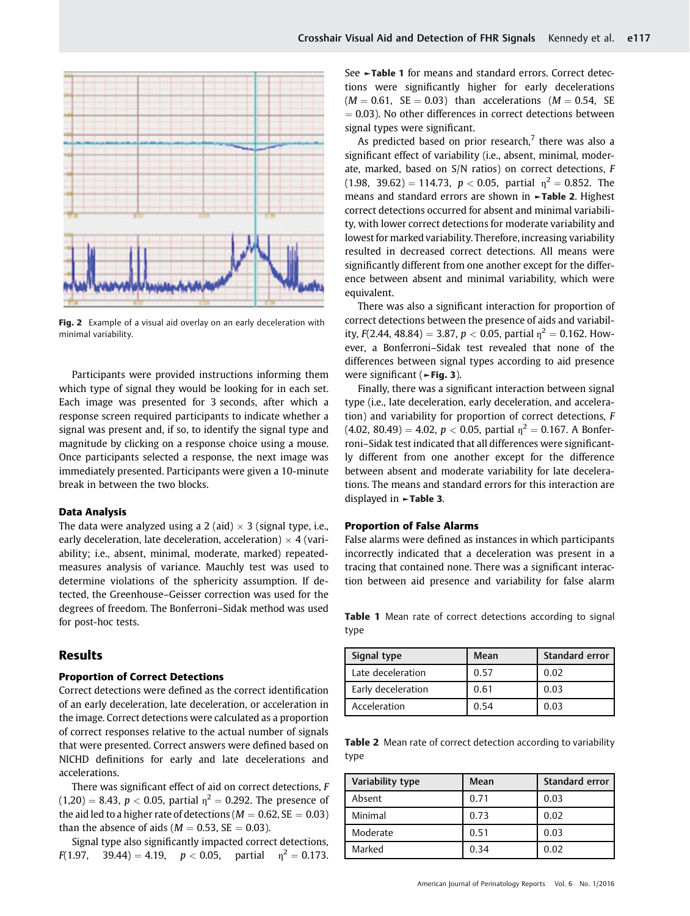

Fig. 2 Example of a visual aid overlay on an early deceleration with minimal variability.

Participants were provided instructions informing them which type of signal they would be looking for in each set. Each image was presented for 3 seconds, after which a response screen required participants to indicate whether a signal was present and, if so, to identify the signal type and magnitude by clicking on a response choice using a mouse. Once participants selected a response, the next image was immediately presented. Participants were given a 10-minute break in between the two blocks.

#### Data Analysis

The data were analyzed using a 2 (aid)  $\times$  3 (signal type, i.e., early deceleration, late deceleration, acceleration)  $\times$  4 (variability; i.e., absent, minimal, moderate, marked) repeatedmeasures analysis of variance. Mauchly test was used to determine violations of the sphericity assumption. If detected, the Greenhouse–Geisser correction was used for the degrees of freedom. The Bonferroni–Sidak method was used for post-hoc tests.

### Results

#### Proportion of Correct Detections

Correct detections were defined as the correct identification of an early deceleration, late deceleration, or acceleration in the image. Correct detections were calculated as a proportion of correct responses relative to the actual number of signals that were presented. Correct answers were defined based on NICHD definitions for early and late decelerations and accelerations.

There was significant effect of aid on correct detections, F  $(1,20) = 8.43$ ,  $p < 0.05$ , partial  $n^2 = 0.292$ . The presence of the aid led to a higher rate of detections ( $M = 0.62$ , SE  $= 0.03$ ) than the absence of aids ( $M = 0.53$ ,  $SE = 0.03$ ).

Signal type also significantly impacted correct detections, F(1.97, 39.44) = 4.19,  $p < 0.05$ , partial  $n^2 = 0.173$ . See ►Table 1 for means and standard errors. Correct detections were significantly higher for early decelerations  $(M = 0.61, \text{ SE} = 0.03)$  than accelerations  $(M = 0.54, \text{ SE})$  $= 0.03$ ). No other differences in correct detections between signal types were significant.

As predicted based on prior research, $<sup>7</sup>$  there was also a</sup> significant effect of variability (i.e., absent, minimal, moderate, marked, based on S/N ratios) on correct detections, F (1.98, 39.62) = 114.73,  $p < 0.05$ , partial  $n^2 = 0.852$ . The means and standard errors are shown in ►Table 2. Highest correct detections occurred for absent and minimal variability, with lower correct detections for moderate variability and lowest for marked variability. Therefore, increasing variability resulted in decreased correct detections. All means were significantly different from one another except for the difference between absent and minimal variability, which were equivalent.

There was also a significant interaction for proportion of correct detections between the presence of aids and variability,  $F(2.44, 48.84) = 3.87, p < 0.05$ , partial  $n^2 = 0.162$ . However, a Bonferroni–Sidak test revealed that none of the differences between signal types according to aid presence were significant (►Fig. 3).

Finally, there was a significant interaction between signal type (i.e., late deceleration, early deceleration, and acceleration) and variability for proportion of correct detections, F  $(4.02, 80.49) = 4.02$ ,  $p < 0.05$ , partial  $n^2 = 0.167$ . A Bonferroni–Sidak test indicated that all differences were significantly different from one another except for the difference between absent and moderate variability for late decelerations. The means and standard errors for this interaction are displayed in ►Table 3.

#### Proportion of False Alarms

False alarms were defined as instances in which participants incorrectly indicated that a deceleration was present in a tracing that contained none. There was a significant interaction between aid presence and variability for false alarm

Table 1 Mean rate of correct detections according to signal type

| Signal type        | Mean | <b>Standard error</b> |
|--------------------|------|-----------------------|
| Late deceleration  | 0.57 | 0.02                  |
| Early deceleration | 0.61 | 0.03                  |
| Acceleration       | 0.54 | 0.03                  |

Table 2 Mean rate of correct detection according to variability type

| Variability type | Mean | Standard error |
|------------------|------|----------------|
| Absent           | 0.71 | 0.03           |
| Minimal          | 0.73 | 0.02           |
| Moderate         | 0.51 | 0.03           |
| Marked           | 0.34 | 0.02           |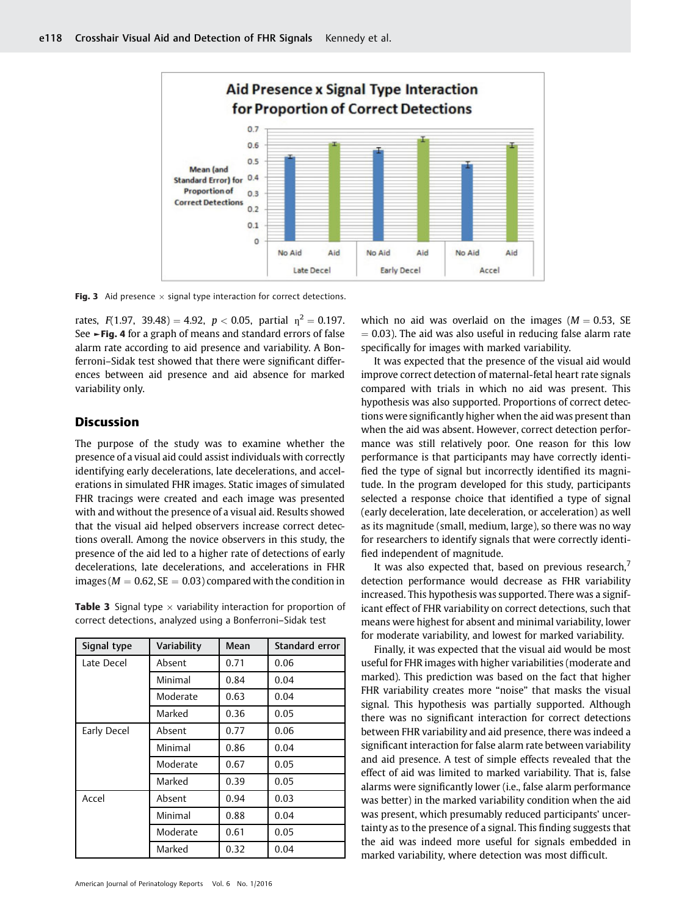

**Fig. 3** Aid presence  $\times$  signal type interaction for correct detections.

rates,  $F(1.97, 39.48) = 4.92$ ,  $p < 0.05$ , partial  $\eta^2 = 0.197$ . See ►Fig. 4 for a graph of means and standard errors of false alarm rate according to aid presence and variability. A Bonferroni–Sidak test showed that there were significant differences between aid presence and aid absence for marked variability only.

## **Discussion**

The purpose of the study was to examine whether the presence of a visual aid could assist individuals with correctly identifying early decelerations, late decelerations, and accelerations in simulated FHR images. Static images of simulated FHR tracings were created and each image was presented with and without the presence of a visual aid. Results showed that the visual aid helped observers increase correct detections overall. Among the novice observers in this study, the presence of the aid led to a higher rate of detections of early decelerations, late decelerations, and accelerations in FHR images ( $M = 0.62$ ,  $SE = 0.03$ ) compared with the condition in

**Table 3** Signal type  $\times$  variability interaction for proportion of correct detections, analyzed using a Bonferroni–Sidak test

| Signal type | Variability | Mean | <b>Standard error</b> |
|-------------|-------------|------|-----------------------|
| Late Decel  | Absent      | 0.71 | 0.06                  |
|             | Minimal     | 0.84 | 0.04                  |
|             | Moderate    | 0.63 | 0.04                  |
|             | Marked      | 0.36 | 0.05                  |
| Early Decel | Absent      | 0.77 | 0.06                  |
|             | Minimal     | 0.86 | 0.04                  |
|             | Moderate    | 0.67 | 0.05                  |
|             | Marked      | 0.39 | 0.05                  |
| Accel       | Absent      | 0.94 | 0.03                  |
|             | Minimal     | 0.88 | 0.04                  |
|             | Moderate    | 0.61 | 0.05                  |
|             | Marked      | 0.32 | 0.04                  |

which no aid was overlaid on the images ( $M = 0.53$ , SE  $= 0.03$ ). The aid was also useful in reducing false alarm rate specifically for images with marked variability.

It was expected that the presence of the visual aid would improve correct detection of maternal-fetal heart rate signals compared with trials in which no aid was present. This hypothesis was also supported. Proportions of correct detections were significantly higher when the aid was present than when the aid was absent. However, correct detection performance was still relatively poor. One reason for this low performance is that participants may have correctly identified the type of signal but incorrectly identified its magnitude. In the program developed for this study, participants selected a response choice that identified a type of signal (early deceleration, late deceleration, or acceleration) as well as its magnitude (small, medium, large), so there was no way for researchers to identify signals that were correctly identified independent of magnitude.

It was also expected that, based on previous research, $7$ detection performance would decrease as FHR variability increased. This hypothesis was supported. There was a significant effect of FHR variability on correct detections, such that means were highest for absent and minimal variability, lower for moderate variability, and lowest for marked variability.

Finally, it was expected that the visual aid would be most useful for FHR images with higher variabilities (moderate and marked). This prediction was based on the fact that higher FHR variability creates more "noise" that masks the visual signal. This hypothesis was partially supported. Although there was no significant interaction for correct detections between FHR variability and aid presence, there was indeed a significant interaction for false alarm rate between variability and aid presence. A test of simple effects revealed that the effect of aid was limited to marked variability. That is, false alarms were significantly lower (i.e., false alarm performance was better) in the marked variability condition when the aid was present, which presumably reduced participants' uncertainty as to the presence of a signal. This finding suggests that the aid was indeed more useful for signals embedded in marked variability, where detection was most difficult.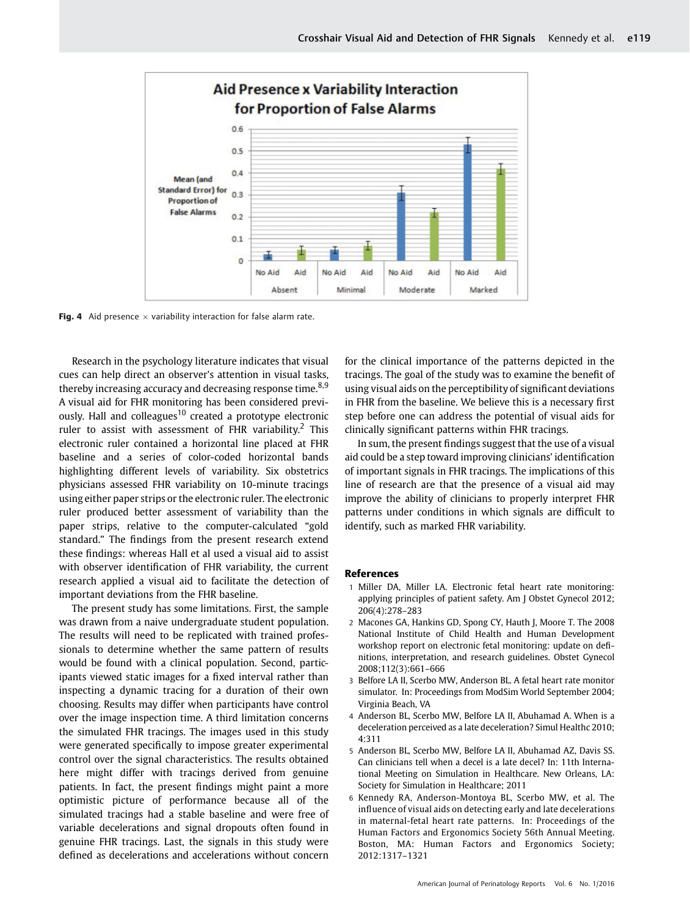

**Fig. 4** Aid presence  $\times$  variability interaction for false alarm rate.

Research in the psychology literature indicates that visual cues can help direct an observer's attention in visual tasks, thereby increasing accuracy and decreasing response time. $8,9$ A visual aid for FHR monitoring has been considered previously. Hall and colleagues<sup>10</sup> created a prototype electronic ruler to assist with assessment of FHR variability.<sup>2</sup> This electronic ruler contained a horizontal line placed at FHR baseline and a series of color-coded horizontal bands highlighting different levels of variability. Six obstetrics physicians assessed FHR variability on 10-minute tracings using either paper strips or the electronic ruler. The electronic ruler produced better assessment of variability than the paper strips, relative to the computer-calculated "gold standard." The findings from the present research extend these findings: whereas Hall et al used a visual aid to assist with observer identification of FHR variability, the current research applied a visual aid to facilitate the detection of important deviations from the FHR baseline.

The present study has some limitations. First, the sample was drawn from a naive undergraduate student population. The results will need to be replicated with trained professionals to determine whether the same pattern of results would be found with a clinical population. Second, participants viewed static images for a fixed interval rather than inspecting a dynamic tracing for a duration of their own choosing. Results may differ when participants have control over the image inspection time. A third limitation concerns the simulated FHR tracings. The images used in this study were generated specifically to impose greater experimental control over the signal characteristics. The results obtained here might differ with tracings derived from genuine patients. In fact, the present findings might paint a more optimistic picture of performance because all of the simulated tracings had a stable baseline and were free of variable decelerations and signal dropouts often found in genuine FHR tracings. Last, the signals in this study were defined as decelerations and accelerations without concern

for the clinical importance of the patterns depicted in the tracings. The goal of the study was to examine the benefit of using visual aids on the perceptibility of significant deviations in FHR from the baseline. We believe this is a necessary first step before one can address the potential of visual aids for clinically significant patterns within FHR tracings.

In sum, the present findings suggest that the use of a visual aid could be a step toward improving clinicians' identification of important signals in FHR tracings. The implications of this line of research are that the presence of a visual aid may improve the ability of clinicians to properly interpret FHR patterns under conditions in which signals are difficult to identify, such as marked FHR variability.

#### References

- 1 Miller DA, Miller LA. Electronic fetal heart rate monitoring: applying principles of patient safety. Am J Obstet Gynecol 2012; 206(4):278–283
- 2 Macones GA, Hankins GD, Spong CY, Hauth J, Moore T. The 2008 National Institute of Child Health and Human Development workshop report on electronic fetal monitoring: update on definitions, interpretation, and research guidelines. Obstet Gynecol 2008;112(3):661–666
- 3 Belfore LA II, Scerbo MW, Anderson BL. A fetal heart rate monitor simulator. In: Proceedings from ModSim World September 2004; Virginia Beach, VA
- 4 Anderson BL, Scerbo MW, Belfore LA II, Abuhamad A. When is a deceleration perceived as a late deceleration? Simul Healthc 2010; 4:311
- 5 Anderson BL, Scerbo MW, Belfore LA II, Abuhamad AZ, Davis SS. Can clinicians tell when a decel is a late decel? In: 11th International Meeting on Simulation in Healthcare. New Orleans, LA: Society for Simulation in Healthcare; 2011
- 6 Kennedy RA, Anderson-Montoya BL, Scerbo MW, et al. The influence of visual aids on detecting early and late decelerations in maternal-fetal heart rate patterns. In: Proceedings of the Human Factors and Ergonomics Society 56th Annual Meeting. Boston, MA: Human Factors and Ergonomics Society; 2012:1317–1321